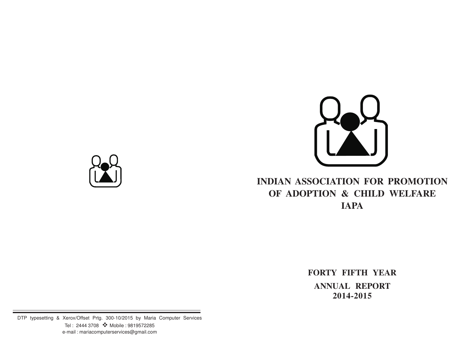

# **INDIAN ASSOCIATION FOR PROMOTION OF ADOPTION & CHILD WELFARE IAPA**

**FORTY FIFTH YEAR ANNUAL REPORT 2014-2015**

DTP typesetting & Xerox/Offset Prtg. 300-10/2015 by Maria Computer Services Tel : 2444 3708 ❖ Mobile : 9819572285 e-mail : mariacomputerservices@gmail.com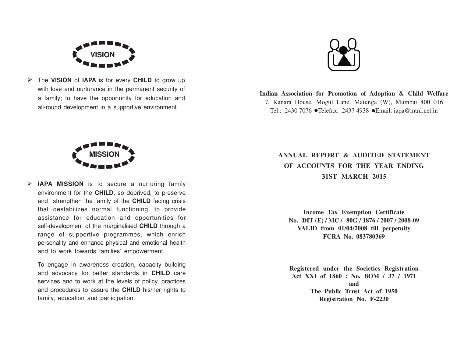

Ø The **VISION** of **IAPA** is for every **CHILD** to grow up with love and nurturance in the permanent security of a family; to have the opportunity for education and all-round development in a supportive environment.



**Indian Association for Promotion of Adoption & Child Welfare** 7, Kanara House, Mogul Lane, Matunga (W), Mumbai 400 016 Tel.: 2430 7076 ●Telefax: 2437 4938 ●Email: iapa@mtnl.net.in



Ø **IAPA MISSION** is to secure a nurturing family environment for the **CHILD,** so deprived, to preserve and strengthen the family of the **CHILD** facing crisis that destabilizes normal functioning, to provide assistance for education and opportunities for self-development of the marginalised **CHILD** through a range of supportive programmes, which enrich personality and enhance physical and emotional health and to work towards families' empowerment.

To engage in awareness creation, capacity building and advocacy for better standards in **CHILD** care services and to work at the levels of policy, practices and procedures to assure the **CHILD** his/her rights to family, education and participation.

**ANNUAL REPORT & AUDITED STATEMENT OF ACCOUNTS FOR THE YEAR ENDING 31ST MARCH 2015**

**Income Tax Exemption Certificate No. DIT (E) / MC / 80G / 1876 / 2007 / 2008-09 VALID from 01/04/2008 till perpetuity FCRA No. 083780369**

**Registered under the Societies Registration Act XXI of 1860 : No. BOM / 37 / 1971 and The Public Trust Act of 1950 Registration No. F-2230**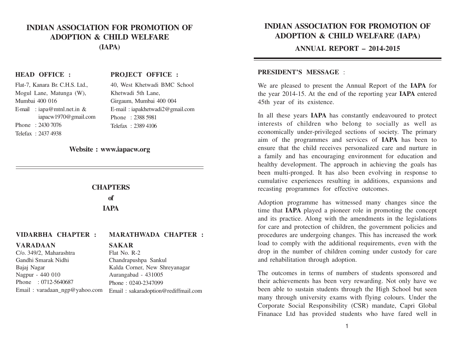## **INDIAN ASSOCIATION FOR PROMOTION OF ADOPTION & CHILD WELFARE (IAPA)**

#### **HEAD OFFICE :**

#### **PROJECT OFFICE :**

| Flat-7, Kanara Br. C.H.S. Ltd., |
|---------------------------------|
| Mogul Lane, Matunga (W),        |
| Mumbai 400 016                  |
| E-mail : iapa@mtnl.net.in &     |
| iapacw1970@gmail.com            |
| Phone: 2430 7076                |
| Telefax: 2437 4938              |

40, West Khetwadi BMC School Khetwadi 5th Lane, Girgaum, Mumbai 400 004 E-mail : iapakhetwadi2@gmail.com Phone : 2388 5981 Telefax : 2389 4106

#### **Website : www.iapacw.org**

#### **CHAPTERS**

**of**

**IAPA**

#### **VIDARBHA CHAPTER : MARATHWADA CHAPTER :**

#### **VARADAAN**

Bajaj Nagar Nagpur - 440 010

C/o. 349/2, Maharashtra Gandhi Smarak Nidhi

## **SAKAR**

Flat No. R-2 Chandrapushpa Sankul Kalda Corner, New Shreyanagar Aurangabad - 431005 Phone : 0240-2347099 Email : sakaradoption@rediffmail.com

# **INDIAN ASSOCIATION FOR PROMOTION OF ADOPTION & CHILD WELFARE (IAPA)**

#### **ANNUAL REPORT – 2014-2015**

#### **PRESIDENT'S MESSAGE** :

We are pleased to present the Annual Report of the **IAPA** for the year 2014-15. At the end of the reporting year **IAPA** entered 45th year of its existence.

In all these years **IAPA** has constantly endeavoured to protect interests of children who belong to socially as well as economically under-privileged sections of society. The primary aim of the programmes and services of **IAPA** has been to ensure that the child receives personalized care and nurture in a family and has encouraging environment for education and healthy development. The approach in achieving the goals has been multi-pronged. It has also been evolving in response to cumulative experiences resulting in additions, expansions and recasting programmes for effective outcomes.

Adoption programme has witnessed many changes since the time that **IAPA** played a pioneer role in promoting the concept and its practice. Along with the amendments in the legislations for care and protection of children, the government policies and procedures are undergoing changes. This has increased the work load to comply with the additional requirements, even with the drop in the number of children coming under custody for care and rehabilitation through adoption.

The outcomes in terms of numbers of students sponsored and their achievements has been very rewarding. Not only have we been able to sustain students through the High School but seen many through university exams with flying colours. Under the Corporate Social Responsibility (CSR) mandate, Capri Global Finanace Ltd has provided students who have fared well in

Phone : 0712-5640687 Email : varadaan\_ngp@yahoo.com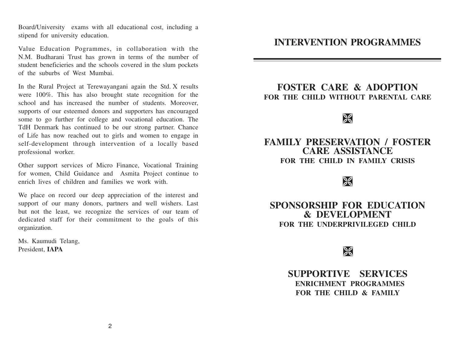Board/University exams with all educational cost, including a stipend for university education.

Value Education Pogrammes, in collaboration with the N.M. Budharani Trust has grown in terms of the number of student beneficieries and the schools covered in the slum pockets of the suburbs of West Mumbai.

In the Rural Project at Terewayangani again the Std. X results were 100%. This has also brought state recognition for the school and has increased the number of students. Moreover, supports of our esteemed donors and supporters has encouraged some to go further for college and vocational education. The TdH Denmark has continued to be our strong partner. Chance of Life has now reached out to girls and women to engage in self-development through intervention of a locally based professional worker.

Other support services of Micro Finance, Vocational Training for women, Child Guidance and Asmita Project continue to enrich lives of children and families we work with.

We place on record our deep appreciation of the interest and support of our many donors, partners and well wishers. Last but not the least, we recognize the services of our team of dedicated staff for their commitment to the goals of this organization.

Ms. Kaumudi Telang, President, **IAPA**

# **INTERVENTION PROGRAMMES**

# **FOSTER CARE & ADOPTION FOR THE CHILD WITHOUT PARENTAL CARE**

# $\geqslant$

# **FAMILY PRESERVATION / FOSTER CARE ASSISTANCE FOR THE CHILD IN FAMILY CRISIS**

# $\sqrt{2}$

**SPONSORSHIP FOR EDUCATION & DEVELOPMENT FOR THE UNDERPRIVILEGED CHILD**

# $\geqslant$

**SUPPORTIVE SERVICES ENRICHMENT PROGRAMMES FOR THE CHILD & FAMILY**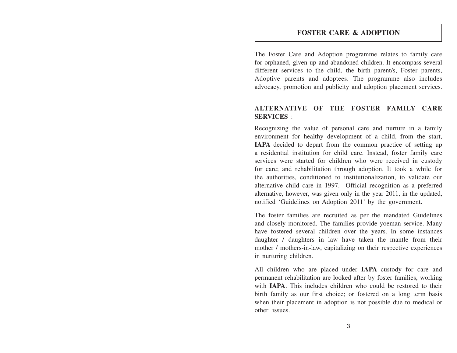#### **FOSTER CARE & ADOPTION**

The Foster Care and Adoption programme relates to family care for orphaned, given up and abandoned children. It encompass several different services to the child, the birth parent/s, Foster parents, Adoptive parents and adoptees. The programme also includes advocacy, promotion and publicity and adoption placement services.

#### **ALTERNATIVE OF THE FOSTER FAMILY CARE SERVICES** :

Recognizing the value of personal care and nurture in a family environment for healthy development of a child, from the start, **IAPA** decided to depart from the common practice of setting up a residential institution for child care. Instead, foster family care services were started for children who were received in custody for care; and rehabilitation through adoption. It took a while for the authorities, conditioned to institutionalization, to validate our alternative child care in 1997. Official recognition as a preferred alternative, however, was given only in the year 2011, in the updated, notified 'Guidelines on Adoption 2011' by the government.

The foster families are recruited as per the mandated Guidelines and closely monitored. The families provide yoeman service. Many have fostered several children over the years. In some instances daughter / daughters in law have taken the mantle from their mother / mothers-in-law, capitalizing on their respective experiences in nurturing children.

All children who are placed under **IAPA** custody for care and permanent rehabilitation are looked after by foster families, working with **IAPA**. This includes children who could be restored to their birth family as our first choice; or fostered on a long term basis when their placement in adoption is not possible due to medical or other issues.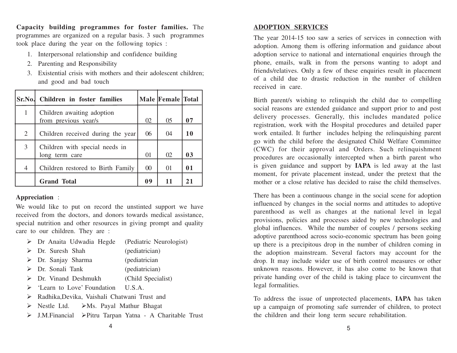**Capacity building programmes for foster families.** The programmes are organized on a regular basis. 3 such programmes took place during the year on the following topics :

- 1. Interpersonal relationship and confidence building
- 2. Parenting and Responsibility
- 3. Existential crisis with mothers and their adolescent children; and good and bad touch

| Sr.No.         | Children in foster families                        |          | Male Female Total |    |
|----------------|----------------------------------------------------|----------|-------------------|----|
| 1              | Children awaiting adoption<br>from previous year/s | 02       | 05                | 07 |
| $\overline{2}$ | Children received during the year                  | 06       | $\Omega$          | 10 |
| 3              | Children with special needs in<br>long term care   | $\Omega$ | 02                | 03 |
| $\overline{4}$ | Children restored to Birth Family                  | $\Omega$ | 01                | 01 |
|                | <b>Grand Total</b>                                 | 09       | 11                | 21 |

#### **Appreciation** :

We would like to put on record the unstinted support we have received from the doctors, and donors towards medical assistance, special nutrition and other resources in giving prompt and quality care to our children. They are :

| $\triangleright$ Dr Anaita Udwadia Hegde                              | (Pediatric Neurologist) |
|-----------------------------------------------------------------------|-------------------------|
| $\triangleright$ Dr. Suresh Shah                                      | (pediatrician)          |
| $\triangleright$ Dr. Sanjay Sharma                                    | (pediatrician           |
| $\triangleright$ Dr. Sonali Tank                                      | (pediatrician)          |
| $\triangleright$ Dr. Vinand Deshmukh                                  | (Child Specialist)      |
| $\triangleright$ 'Learn to Love' Foundation U.S.A.                    |                         |
| > Radhika, Devika, Vaishali Chatwani Trust and                        |                         |
| $\triangleright$ Nestle Ltd. $\triangleright$ Ms. Payal Mathur Bhagat |                         |

Ø J.M.Financial ØPitru Tarpan Yatna - A Charitable Trust

#### **ADOPTION SERVICES**

The year 2014-15 too saw a series of services in connection with adoption. Among them is offering information and guidance about adoption service to national and international enquiries through the phone, emails, walk in from the persons wanting to adopt and friends/relatives. Only a few of these enquiries result in placement of a child due to drastic reduction in the number of children received in care.

Birth parent/s wishing to relinquish the child due to compelling social reasons are extended guidance and support prior to and post delivery processes. Generally, this includes mandated police registration, work with the Hospital procedures and detailed paper work entailed. It further includes helping the relinquishing parent go with the child before the designated Child Welfare Committee (CWC) for their approval and Orders. Such relinquishment procedures are occasionally intercepted when a birth parent who is given guidance and support by **IAPA** is led away at the last moment, for private placement instead, under the pretext that the mother or a close relative has decided to raise the child themselves.

There has been a continuous change in the social scene for adoption influenced by changes in the social norms and attitudes to adoptive parenthood as well as changes at the national level in legal provisions, policies and processes aided by new technologies and global influences. While the number of couples / persons seeking adoptive parenthood across socio-economic spectrum has been going up there is a precipitous drop in the number of children coming in the adoption mainstream. Several factors may account for the drop. It may include wider use of birth control measures or other unknown reasons. However, it has also come to be known that private handing over of the child is taking place to circumvent the legal formalities.

To address the issue of unprotected placements, **IAPA** has taken up a campaign of promoting safe surrender of children, to protect the children and their long term secure rehabilitation.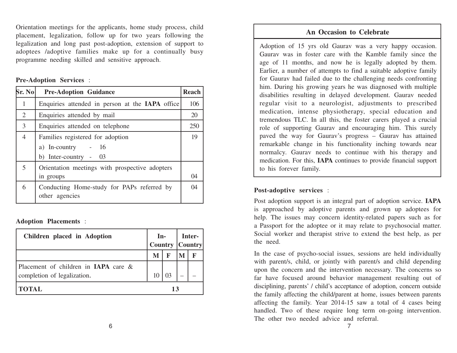Orientation meetings for the applicants, home study process, child placement, legalization, follow up for two years following the legalization and long past post-adoption, extension of support to adoptees /adoptive families make up for a continually busy programme needing skilled and sensitive approach.

#### **Pre-Adoption Services** :

| Sr. No | <b>Pre-Adoption Guidance</b>                                 | <b>Reach</b> |
|--------|--------------------------------------------------------------|--------------|
| 1      | Enquiries attended in person at the <b>IAPA</b> office       | 106          |
| 2      | Enquiries attended by mail                                   | 20           |
| 3      | Enquiries attended on telephone                              | 250          |
| 4      | Families registered for adoption                             | 19           |
|        | $-16$<br>a) In-country                                       |              |
|        | b) Inter-country - $03$                                      |              |
| 5      | Orientation meetings with prospective adopters               |              |
|        | in groups                                                    | 04           |
| 6      | Conducting Home-study for PAPs referred by<br>other agencies | $\Omega$     |

#### **Adoption Placements** :

| Children placed in Adoption                                         |   | $In-$ | Inter-<br>Country Country |  |
|---------------------------------------------------------------------|---|-------|---------------------------|--|
|                                                                     | M | F     | M                         |  |
| Placement of children in IAPA care &<br>completion of legalization. |   |       |                           |  |
| <b>TOTAL</b>                                                        |   | 13    |                           |  |

## **An Occasion to Celebrate**

Adoption of 15 yrs old Gaurav was a very happy occasion. Gaurav was in foster care with the Kamble family since the age of 11 months, and now he is legally adopted by them. Earlier, a number of attempts to find a suitable adoptive family for Gaurav had failed due to the challenging needs confronting him. During his growing years he was diagnosed with multiple disabilities resulting in delayed development. Gaurav needed regular visit to a neurologist, adjustments to prescribed medication, intense physiotherapy, special education and tremendous TLC. In all this, the foster carers played a crucial role of supporting Gaurav and encouraging him. This surely paved the way for Gaurav's progress – Gaurav has attained remarkable change in his functionality inching towards near normalcy. Gaurav needs to continue with his therapy and medication. For this, **IAPA** continues to provide financial support to his forever family.

#### **Post-adoptive services** :

Post adoption support is an integral part of adoption service. **IAPA** is approached by adoptive parents and grown up adoptees for help. The issues may concern identity-related papers such as for a Passport for the adoptee or it may relate to psychosocial matter. Social worker and therapist strive to extend the best help, as per the need.

In the case of psycho-social issues, sessions are held individually with parent/s, child, or jointly with parent/s and child depending upon the concern and the intervention necessary. The concerns so far have focused around behavior management resulting out of disciplining, parents' / child's acceptance of adoption, concern outside the family affecting the child/parent at home, issues between parents affecting the family. Year 2014-15 saw a total of 4 cases being handled. Two of these require long term on-going intervention. The other two needed advice and referral.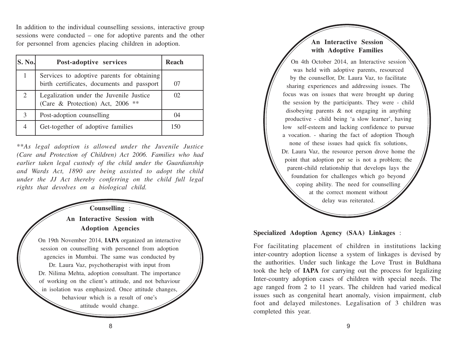In addition to the individual counselling sessions, interactive group sessions were conducted – one for adoptive parents and the other for personnel from agencies placing children in adoption.

| <b>S. No.</b> | Post-adoptive services                                                                   | Reach |
|---------------|------------------------------------------------------------------------------------------|-------|
|               | Services to adoptive parents for obtaining<br>birth certificates, documents and passport | 07    |
| 2             | Legalization under the Juvenile Justice<br>(Care & Protection) Act, 2006 **              | 02    |
| 3             | Post-adoption counselling                                                                | 04    |
| 4             | Get-together of adoptive families                                                        | 150   |

\*\**As legal adoption is allowed under the Juvenile Justice (Care and Protection of Children) Act 2006. Families who had earlier taken legal custody of the child under the Guardianship and Wards Act, 1890 are being assisted to adopt the child under the JJ Act thereby conferring on the child full legal rights that devolves on a biological child.*

**Counselling** : **An Interactive Session with Adoption Agencies** On 19th November 2014, **IAPA** organized an interactive session on counselling with personnel from adoption agencies in Mumbai. The same was conducted by Dr. Laura Vaz, psychotherapist with input from Dr. Nilima Mehta, adoption consultant. The importance of working on the client's attitude, and not behaviour in isolation was emphasized. Once attitude changes, behaviour which is a result of one's attitude would change.

**An Interactive Session with Adoptive Families** On 4th October 2014, an Interactive session was held with adoptive parents, resourced by the counsellor, Dr. Laura Vaz, to facilitate sharing experiences and addressing issues. The focus was on issues that were brought up during the session by the participants. They were - child disobeying parents & not engaging in anything productive - child being 'a slow learner', having low self-esteem and lacking confidence to pursue a vocation. - sharing the fact of adoption Though none of these issues had quick fix solutions, Dr. Laura Vaz, the resource person drove home the point that adoption per se is not a problem; the parent-child relationship that develops lays the foundation for challenges which go beyond coping ability. The need for counselling at the correct moment without delay was reiterated.

## **Specialized Adoption Agency (SAA) Linkages** :

For facilitating placement of children in institutions lacking inter-country adoption license a system of linkages is devised by the authorities. Under such linkage the Love Trust in Buldhana took the help of **IAPA** for carrying out the process for legalizing Inter-country adoption cases of children with special needs. The age ranged from 2 to 11 years. The children had varied medical issues such as congenital heart anomaly, vision impairment, club foot and delayed milestones. Legalisation of 3 children was completed this year.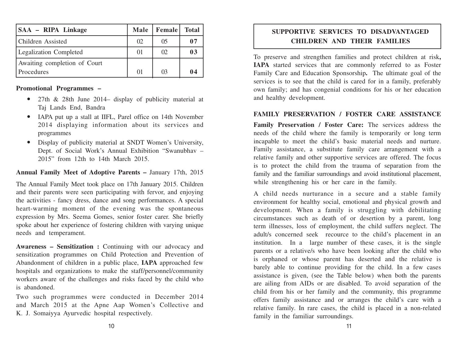| <b>SAA - RIPA Linkage</b>     | <b>Male</b> | <b>Female</b> | <b>Total</b> |
|-------------------------------|-------------|---------------|--------------|
| <b>Children</b> Assisted      | 02          | 05            | 07           |
| <b>Legalization Completed</b> | 01          | 02            | 03           |
| Awaiting completion of Court  |             |               |              |
| Procedures                    | $\Omega$    | $\Omega$      | 04           |

#### **Promotional Programmes –**

- 27th & 28th June 2014– display of publicity material at Taj Lands End, Bandra
- IAPA put up a stall at IIFL, Parel office on 14th November 2014 displaying information about its services and programmes
- Display of publicity material at SNDT Women's University, Dept. of Social Work's Annual Exhibition "Swanubhav – 2015" from 12th to 14th March 2015.

#### **Annual Family Meet of Adoptive Parents –** January 17th, 2015

The Annual Family Meet took place on 17th January 2015. Children and their parents were seen participating with fervor, and enjoying the activities - fancy dress, dance and song performances. A special heart-warming moment of the evening was the spontaneous expression by Mrs. Seema Gomes, senior foster carer. She briefly spoke about her experience of fostering children with varying unique needs and temperament.

**Awareness – Sensitization :** Continuing with our advocacy and sensitization programmes on Child Protection and Prevention of Abandonment of children in a public place, **IAPA** approached few hospitals and organizations to make the staff/personnel/community workers aware of the challenges and risks faced by the child who is abandoned.

Two such programmes were conducted in December 2014 and March 2015 at the Apne Aap Women's Collective and K. J. Somaiyya Ayurvedic hospital respectively.

# **SUPPORTIVE SERVICES TO DISADVANTAGED CHILDREN AND THEIR FAMILIES**

To preserve and strengthen families and protect children at risk**, IAPA** started services that are commonly referred to as Foster Family Care and Education Sponsorship**.** The ultimate goal of the services is to see that the child is cared for in a family, preferably own family; and has congenial conditions for his or her education and healthy development.

## **FAMILY PRESERVATION / FOSTER CARE ASSISTANCE**

**Family Preservation / Foster Care:** The services address the needs of the child where the family is temporarily or long term incapable to meet the child's basic material needs and nurture. Family assistance, a substitute family care arrangement with a relative family and other supportive services are offered. The focus is to protect the child from the trauma of separation from the family and the familiar surroundings and avoid institutional placement, while strengthening his or her care in the family.

A child needs nurturance in a secure and a stable family environment for healthy social, emotional and physical growth and development. When a family is struggling with debilitating circumstances such as death of or desertion by a parent, long term illnesses, loss of employment, the child suffers neglect. The adult/s concerned seek recource to the child's placement in an institution. In a large number of these cases, it is the single parents or a relative/s who have been looking after the child who is orphaned or whose parent has deserted and the relative is barely able to continue providing for the child. In a few cases assistance is given, (see the Table below) when both the parents are ailing from AIDs or are disabled. To avoid separation of the child from his or her family and the community, this programme offers family assistance and or arranges the child's care with a relative family. In rare cases, the child is placed in a non-related family in the familiar surroundings.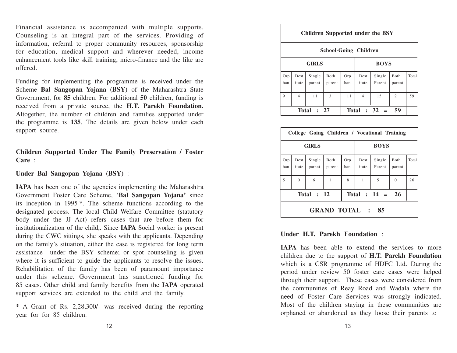Financial assistance is accompanied with multiple supports. Counseling is an integral part of the services. Providing of information, referral to proper community resources, sponsorship for education, medical support and wherever needed, income enhancement tools like skill training, micro-finance and the like are offered.

Funding for implementing the programme is received under the Scheme **Bal Sangopan Yojana (BSY)** of the Maharashtra State Government, for **85** children. For additional **50** children, funding is received from a private source, the **H.T. Parekh Foundation.** Altogether, the number of children and families supported under the programme is **135**. The details are given below under each support source.

**Children Supported Under The Family Preservation / Foster Care** :

**Under Bal Sangopan Yojana (BSY)** :

**IAPA** has been one of the agencies implementing the Maharashtra Government Foster Care Scheme, '**Bal Sangopan Yojana'** since its inception in 1995 \*. The scheme functions according to the designated process. The local Child Welfare Committee (statutory body under the JJ Act) refers cases that are before them for institutionalization of the child,. Since **IAPA** Social worker is present during the CWC sittings, she speaks with the applicants. Depending on the family's situation, either the case is registered for long term assistance under the BSY scheme; or spot counseling is given where it is sufficient to guide the applicants to resolve the issues. Rehabilitation of the family has been of paramount importance under this scheme. Government has sanctioned funding for 85 cases. Other child and family benefits from the **IAPA** operated support services are extended to the child and the family.

\* A Grant of Rs. 2,28,300/- was received during the reporting year for for 85 children.

|                                                      | <b>Children Supported under the BSY</b> |                  |                |             |                |                  |                |       |  |  |  |
|------------------------------------------------------|-----------------------------------------|------------------|----------------|-------------|----------------|------------------|----------------|-------|--|--|--|
|                                                      | <b>School-Going Children</b>            |                  |                |             |                |                  |                |       |  |  |  |
| <b>GIRLS</b>                                         |                                         |                  |                | <b>BOYS</b> |                |                  |                |       |  |  |  |
| Orp<br>han                                           | Dest<br>itute                           | Single<br>parent | Both<br>parent | Orp<br>han  | Dest<br>itute  | Single<br>Parent | Both<br>parent | Total |  |  |  |
| $\mathbf Q$                                          | $\overline{4}$                          | 11               | 3              | 11          | $\overline{4}$ | 15               | 2              | 59    |  |  |  |
| Total : $32 =$<br><b>Total</b><br>-59<br>$\cdot$ 2.7 |                                         |                  |                |             |                |                  |                |       |  |  |  |

| College Going Children / Vocational Training |                                           |                  |                |              |               |                  |                |       |  |  |  |
|----------------------------------------------|-------------------------------------------|------------------|----------------|--------------|---------------|------------------|----------------|-------|--|--|--|
| <b>GIRLS</b>                                 |                                           |                  |                | <b>BOYS</b>  |               |                  |                |       |  |  |  |
| Orp<br>han                                   | Dest<br>itute                             | Single<br>parent | Both<br>parent | Orp<br>han   | Dest<br>itute | Single<br>Parent | Both<br>parent | Total |  |  |  |
| 5                                            | $\theta$                                  | 6                |                | $\mathbf{8}$ |               | 5                | $\Omega$       | 26    |  |  |  |
|                                              | Total : $14 =$<br><b>Total : 12</b><br>26 |                  |                |              |               |                  |                |       |  |  |  |
|                                              | <b>GRAND TOTAL :</b><br>85                |                  |                |              |               |                  |                |       |  |  |  |

#### **Under H.T. Parekh Foundation** :

**IAPA** has been able to extend the services to more children due to the support of **H.T. Parekh Foundation** which is a CSR programme of HDFC Ltd. During the period under review 50 foster care cases were helped through their support. These cases were considered from the communities of Reay Road and Wadala where the need of Foster Care Services was strongly indicated. Most of the children staying in these communities are orphaned or abandoned as they loose their parents to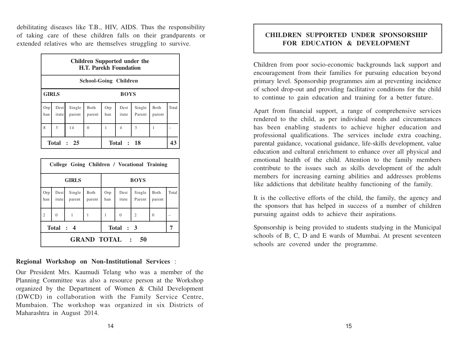debilitating diseases like T.B., HIV, AIDS. Thus the responsibility of taking care of these children falls on their grandparents or extended relatives who are themselves struggling to survive.

|                             | Children Supported under the<br><b>H.T. Parekh Foundation</b> |                  |                |            |                |                  |                        |       |  |  |  |
|-----------------------------|---------------------------------------------------------------|------------------|----------------|------------|----------------|------------------|------------------------|-------|--|--|--|
|                             | <b>School-Going Children</b>                                  |                  |                |            |                |                  |                        |       |  |  |  |
| <b>GIRLS</b><br><b>BOYS</b> |                                                               |                  |                |            |                |                  |                        |       |  |  |  |
| Orp<br>han                  | Dest<br>itute                                                 | Single<br>parent | Both<br>parent | Orp<br>han | Dest<br>itute  | Single<br>Parent | <b>B</b> oth<br>parent | Total |  |  |  |
| 8                           | $\mathcal{R}$                                                 | 14               | $\Omega$       | 1          | $\overline{4}$ | 3                | 1                      |       |  |  |  |
| Total $: 25$                |                                                               |                  |                |            | Total : 18     |                  |                        | 43    |  |  |  |

| College Going Children / Vocational Training |                            |                  |                |             |               |                  |                |       |  |  |
|----------------------------------------------|----------------------------|------------------|----------------|-------------|---------------|------------------|----------------|-------|--|--|
| <b>GIRLS</b>                                 |                            |                  |                | <b>BOYS</b> |               |                  |                |       |  |  |
| Orp<br>han                                   | Dest  <br>itute            | Single<br>parent | Both<br>parent | Orp<br>han  | Dest<br>itute | Single<br>Parent | Both<br>parent | Total |  |  |
| $\overline{2}$                               | $\overline{0}$             | 1                | 1              | 1           | $\theta$      | $\overline{2}$   | $\mathbf{0}$   |       |  |  |
|                                              | Total : 4                  |                  |                |             | Total : 3     |                  |                |       |  |  |
|                                              | <b>GRAND TOTAL :</b><br>50 |                  |                |             |               |                  |                |       |  |  |

**Regional Workshop on Non-Institutional Services** :

Our President Mrs. Kaumudi Telang who was a member of the Planning Committee was also a resource person at the Workshop organized by the Department of Women & Child Development (DWCD) in collaboration with the Family Service Centre, Mumbaion. The workshop was organized in six Districts of Maharashtra in August 2014.

# **CHILDREN SUPPORTED UNDER SPONSORSHIP FOR EDUCATION & DEVELOPMENT**

Children from poor socio-economic backgrounds lack support and encouragement from their families for pursuing education beyond primary level. Sponsorship programmes aim at preventing incidence of school drop-out and providing facilitative conditions for the child to continue to gain education and training for a better future.

Apart from financial support, a range of comprehensive services rendered to the child, as per individual needs and circumstances has been enabling students to achieve higher education and professional qualifications. The services include extra coaching, parental guidance, vocational guidance, life-skills development, value education and cultural enrichment to enhance over all physical and emotional health of the child. Attention to the family members contribute to the issues such as skills development of the adult members for increasing earning abilities and addresses problems like addictions that debilitate healthy functioning of the family.

It is the collective efforts of the child, the family, the agency and the sponsors that has helped in success of a number of children pursuing against odds to achieve their aspirations.

Sponsorship is being provided to students studying in the Municipal schools of B, C, D and E wards of Mumbai. At present seventeen schools are covered under the programme.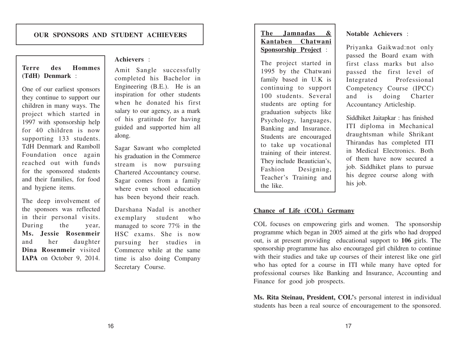## **Terre des Hommes (TdH) Denmark** :

One of our earliest sponsors they continue to support our children in many ways. The project which started in 1997 with sponsorship help for 40 children is now supporting 133 students. TdH Denmark and Ramboll Foundation once again reached out with funds for the sponsored students and their families, for food and hygiene items.

The deep involvement of the sponsors was reflected in their personal visits. During the year, **Ms. Jessie Rosenmeir** and her daughter **Dina Rosenmeir** visited **IAPA** on October 9, 2014.

#### **Achievers** :

Amit Sangle successfully completed his Bachelor in Engineering (B.E.). He is an inspiration for other students when he donated his first salary to our agency, as a mark of his gratitude for having guided and supported him all along.

Sagar Sawant who completed his graduation in the Commerce stream is now pursuing Chartered Accountancy course. Sagar comes from a family where even school education has been beyond their reach.

Darshana Nadal is another exemplary student who managed to score 77% in the HSC exams. She is now pursuing her studies in Commerce while at the same time is also doing Company Secretary Course.

The project started in 1995 by the Chatwani family based in U.K is continuing to support 100 students. Several students are opting for graduation subjects like Psychology, languages, Banking and Insurance. Students are encouraged to take up vocational training of their interest. They include Beautician's, Fashion Designing, Teacher's Training and the like.

#### **Notable Achievers** :

Priyanka Gaikwad:not only passed the Board exam with first class marks but also passed the first level of Integrated Professional Competency Course (IPCC) and is doing Charter Accountancy Articleship.

Siddhiket Jaitapkar : has finished ITI diploma in Mechanical draughtsman while Shrikant Thirandas has completed ITI in Medical Electronics. Both of them have now secured a job. Siddhiket plans to pursue his degree course along with his job.

#### **Chance of Life (COL) Germany**

COL focuses on empowering girls and women. The sponsorship programme which began in 2005 aimed at the girls who had dropped out, is at present providing educational support to **106** girls. The sponsorship programme has also encouraged girl children to continue with their studies and take up courses of their interest like one girl who has opted for a course in ITI while many have opted for professional courses like Banking and Insurance, Accounting and Finance for good job prospects.

**Ms. Rita Steinau, President, COL'**s personal interest in individual students has been a real source of encouragement to the sponsored.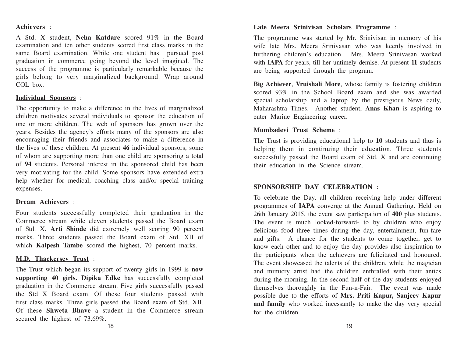#### **Achievers** :

A Std. X student, **Neha Katdare** scored 91% in the Board examination and ten other students scored first class marks in the same Board examination. While one student has pursued post graduation in commerce going beyond the level imagined. The success of the programme is particularly remarkable because the girls belong to very marginalized background. Wrap around COL box.

#### **Individual Sponsors** :

The opportunity to make a difference in the lives of marginalized children motivates several individuals to sponsor the education of one or more children. The web of sponsors has grown over the years. Besides the agency's efforts many of the sponsors are also encouraging their friends and associates to make a difference in the lives of these children. At present **46** individual sponsors, some of whom are supporting more than one child are sponsoring a total of **94** students. Personal interest in the sponsored child has been very motivating for the child. Some sponsors have extended extra help whether for medical, coaching class and/or special training expenses.

#### **Dream Achievers** :

Four students successfully completed their graduation in the Commerce stream while eleven students passed the Board exam of Std. X. **Arti Shinde** did extremely well scoring 90 percent marks. Three students passed the Board exam of Std. XII of which **Kalpesh Tambe** scored the highest, 70 percent marks.

#### **M.D. Thackersey Trust** :

The Trust which began its support of twenty girls in 1999 is **now supporting 40 girls. Dipika Edke** has successfully completed graduation in the Commerce stream. Five girls successfully passed the Std X Board exam. Of these four students passed with first class marks. Three girls passed the Board exam of Std. XII. Of these **Shweta Bhave** a student in the Commerce stream secured the highest of 73.69%.

## **Late Meera Srinivisan Scholars Programme** :

The programme was started by Mr. Srinivisan in memory of his wife late Mrs. Meera Srinivasan who was keenly involved in furthering children's education. Mrs. Meera Srinivasan worked with **IAPA** for years, till her untimely demise. At present **11** students are being supported through the program.

**Big Achiever**, **Vruishali Mor <sup>e</sup>**, whose family is fostering children scored 93% in the School Board exam and she was awarded special scholarship and a laptop by the prestigious News daily, Maharashtra Times. Another student, **Anas Khan** is aspiring to enter Marine Engineering career.

#### **Mumbadevi Trust Scheme** :

The Trust is providing educational help to **10** students and thus is helping them in continuing their education. Three students successfully passed the Board exam of Std. X and are continuing their education in the Science stream.

#### **SPONSORSHIP DAY CELEBRATION** :

To celebrate the Day, all children receiving help under different programmes of **IAPA** converge at the Annual Gathering. Held on 26th January 2015, the event saw participation of **400** plus students. The event is much looked-forward- to by children who enjoy delicious food three times during the day, entertainment, fun-fare and gifts. A chance for the students to come together, get to know each other and to enjoy the day provides also inspiration to the participants when the achievers are felicitated and honoured. The event showcased the talents of the children, while the magician and mimicry artist had the children enthralled with their antics during the morning. In the second half of the day students enjoyed themselves thoroughly in the Fun-n-Fair. The event was made possible due to the efforts of **Mrs. Priti Kapur, Sanjeev Kapur and family** who worked incessantly to make the day very special for the children.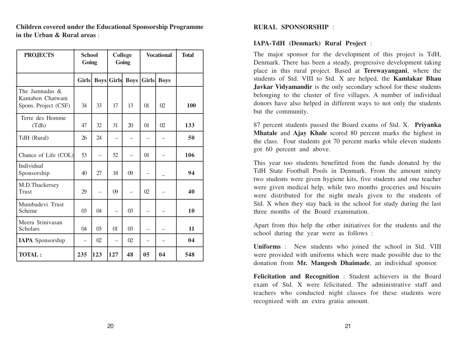**Children covered under the Educational Sponsorship Programme in the Urban & Rural areas** :

| <b>PROJECTS</b>                                                | <b>School</b><br>Going |                          | <b>College</b><br>Going |                          | <b>Vocational</b> |             | <b>Total</b> |
|----------------------------------------------------------------|------------------------|--------------------------|-------------------------|--------------------------|-------------------|-------------|--------------|
|                                                                | <b>Girls</b>           |                          | <b>Boys</b> Girls       | <b>Boys</b>              | Girls             | <b>Boys</b> |              |
| The Jamnadas $\&$<br>Kantaben Chatwani<br>Spons. Project (CSF) | 34                     | 33                       | 17                      | 13                       | $\Omega$          | $\Omega$    | 100          |
| Terre des Homme<br>(Tdh)                                       | 47                     | 32                       | 31                      | 20                       | $\Omega$          | $\Omega$    | 133          |
| TdH (Rural)                                                    | 26                     | 24                       | —                       |                          |                   |             | 50           |
| Chance of Life (COL)                                           | 53                     | $\overline{\phantom{0}}$ | 52                      | $\overline{\phantom{0}}$ | $\Omega$          |             | 106          |
| Individual<br>Sponsorship                                      | 40                     | 27                       | 18                      | (9)                      |                   |             | 94           |
| M.D.Thackersey<br>Trust                                        | 29                     | $\overline{\phantom{0}}$ | 09                      | —                        | 02                |             | 40           |
| Mumbadevi Trust<br>Scheme                                      | $\Omega$               | $\Omega$                 | $\equiv$                | $\Omega$                 |                   |             | 10           |
| Meera Srinivasan<br>Scholars                                   | $\Omega$               | 03                       | 01                      | 03                       |                   |             | 11           |
| <b>IAPA</b> Sponsorship                                        |                        | 02                       |                         | $\Omega$                 |                   |             | 04           |
| <b>TOTAL:</b>                                                  | 235                    | 123                      | 127                     | 48                       | 05                | 04          | 548          |

#### **RURAL SPONSORSHIP** :

#### **IAPA-TdH (Denmark) Rural Project** :

The major sponsor for the development of this project is TdH, Denmark. There has been a steady, progressive development taking place in this rural project. Based at **Terewayangani**, where the students of Std. VIII to Std. X are helped, the **Kamlakar Bhau Javkar Vidyamandir** is the only secondary school for these students belonging to the cluster of five villages. A number of individual donors have also helped in different ways to not only the students but the community.

87 percent students passed the Board exams of Std. X. **Priyanka Mhatale** and **Ajay Khale** scored 80 percent marks the highest in the class. Four students got 70 percent marks while eleven students got 60 percent and above.

This year too students benefitted from the funds donated by the TdH State Football Pools in Denmark. From the amount ninety two students were given hygiene kits, five students and one teacher were given medical help, while two months groceries and biscuits were distributed for the night meals given to the students of Std. X when they stay back in the school for study during the last three months of the Board examination.

Apart from this help the other initiatives for the students and the school during the year were as follows :

**Uniforms** : New students who joined the school in Std. VIII were provided with uniforms which were made possible due to the donation from **Mr. Mangesh Dhaimade**, an individual sponsor.

**Felicitation and Recognition** : Student achievers in the Board exam of Std. X were felicitated. The administrative staff and teachers who conducted night classes for these students were recognized with an extra gratia amount.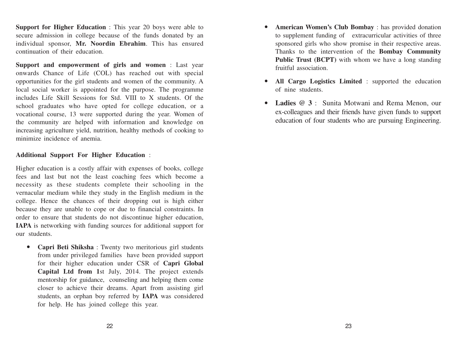**Support for Higher Education** : This year 20 boys were able to secure admission in college because of the funds donated by an individual sponsor, **Mr. Noordin Ebrahim**. This has ensured continuation of their education.

**Support and empowerment of girls and women** : Last year onwards Chance of Life (COL) has reached out with special opportunities for the girl students and women of the community. A local social worker is appointed for the purpose. The programme includes Life Skill Sessions for Std. VIII to X students. Of the school graduates who have opted for college education, or a vocational course, 13 were supported during the year. Women of the community are helped with information and knowledge on increasing agriculture yield, nutrition, healthy methods of cooking to minimize incidence of anemia.

#### **Additional Support For Higher Education** :

Higher education is a costly affair with expenses of books, college fees and last but not the least coaching fees which become a necessity as these students complete their schooling in the vernacular medium while they study in the English medium in the college. Hence the chances of their dropping out is high either because they are unable to cope or due to financial constraints. In order to ensure that students do not discontinue higher education, **IAPA** is networking with funding sources for additional support for our students.

• **Capri Beti Shiksha** : Twenty two meritorious girl students from under privileged families have been provided support for their higher education under CSR of **Capri Global Capital Ltd from 1**st July, 2014. The project extends mentorship for guidance, counseling and helping them come closer to achieve their dreams. Apart from assisting girl students, an orphan boy referred by **IAPA** was considered for help. He has joined college this year.

- **American Women's Club Bombay** : has provided donation to supplement funding of extracurricular activities of three sponsored girls who show promise in their respective areas. Thanks to the intervention of the **Bombay Community Public Trust (BCPT)** with whom we have a long standing fruitful association.
- **All Cargo Logistics Limited** : supported the education of nine students.
- **Ladies @ 3** : Sunita Motwani and Rema Menon, our ex-colleagues and their friends have given funds to support education of four students who are pursuing Engineering.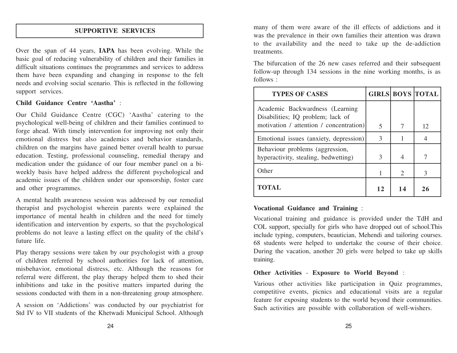## **SUPPORTIVE SERVICES**

Over the span of 44 years, **IAPA** has been evolving. While the basic goal of reducing vulnerability of children and their families in difficult situations continues the programmes and services to address them have been expanding and changing in response to the felt needs and evolving social scenario. This is reflected in the following support services.

#### **Child Guidance Centre 'Aastha'** :

Our Child Guidance Centre (CGC) 'Aastha' catering to the psychological well-being of children and their families continued to forge ahead. With timely intervention for improving not only their emotional distress but also academics and behavior standards, children on the margins have gained better overall health to pursue education. Testing, professional counseling, remedial therapy and medication under the guidance of our four member panel on a biweekly basis have helped address the different psychological and academic issues of the children under our sponsorship, foster care and other programmes.

A mental health awareness session was addressed by our remedial therapist and psychologist wherein parents were explained the importance of mental health in children and the need for timely identification and intervention by experts, so that the psychological problems do not leave a lasting effect on the quality of the child's future life.

Play therapy sessions were taken by our psychologist with a group of children referred by school authorities for lack of attention, misbehavior, emotional distress, etc. Although the reasons for referral were different, the play therapy helped them to shed their inhibitions and take in the positive matters imparted during the sessions conducted with them in a non-threatening group atmosphere.

A session on 'Addictions' was conducted by our psychiatrist for Std IV to VII students of the Khetwadi Municipal School. Although many of them were aware of the ill effects of addictions and it was the prevalence in their own families their attention was drawn to the availability and the need to take up the de-addiction treatments.

The bifurcation of the 26 new cases referred and their subsequent follow-up through 134 sessions in the nine working months, is as follows :

| <b>TYPES OF CASES</b>                                                   |    |                | <b>GIRLS BOYS TOTAL</b> |
|-------------------------------------------------------------------------|----|----------------|-------------------------|
| Academic Backwardness (Learning)<br>Disabilities; IQ problem; lack of   |    |                |                         |
| motivation / attention / concentration)                                 | 5  | 7              | 12                      |
| Emotional issues (anxiety, depression)                                  | 3  |                |                         |
| Behaviour problems (aggression,<br>hyperactivity, stealing, bedwetting) | 3  | 4              |                         |
| Other                                                                   |    | $\overline{2}$ | 3                       |
| TOTAL                                                                   | 12 | 14             | 26                      |

## **Vocational Guidance and Training** :

Vocational training and guidance is provided under the TdH and COL support, specially for girls who have dropped out of school.This include typing, computers, beautician, Mehendi and tailoring courses. 68 students were helped to undertake the course of their choice. During the vacation, another 20 girls were helped to take up skills training.

## **Other Activities** - **Exposure to World Beyond** :

Various other activities like participation in Quiz programmes, competitive events, picnics and educational visits are a regular feature for exposing students to the world beyond their communities. Such activities are possible with collaboration of well-wishers.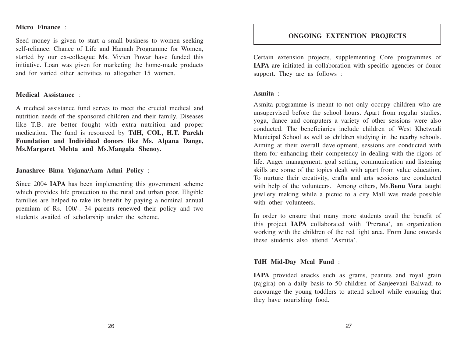#### **Micro Finance** :

Seed money is given to start a small business to women seeking self-reliance. Chance of Life and Hannah Programme for Women, started by our ex-colleague Ms. Vivien Powar have funded this initiative. Loan was given for marketing the home-made products and for varied other activities to altogether 15 women.

#### **Medical Assistance** :

A medical assistance fund serves to meet the crucial medical and nutrition needs of the sponsored children and their family. Diseases like T.B. are better fought with extra nutrition and proper medication. The fund is resourced by **TdH, COL, H.T. Parekh Foundation and Individual donors like Ms. Alpana Dange, Ms.Margaret Mehta and Ms.Mangala Shenoy.**

**Janashree Bima Yojana/Aam Admi Policy** :

Since 2004 **IAPA** has been implementing this government scheme which provides life protection to the rural and urban poor. Eligible families are helped to take its benefit by paying a nominal annual premium of Rs. 100/-. 34 parents renewed their policy and two students availed of scholarship under the scheme.

#### **ONGOING EXTENTION PROJECTS**

Certain extension projects, supplementing Core programmes of **IAPA** are initiated in collaboration with specific agencies or donor support. They are as follows :

#### **Asmita** :

Asmita programme is meant to not only occupy children who are unsupervised before the school hours. Apart from regular studies, yoga, dance and computers a variety of other sessions were also conducted. The beneficiaries include children of West Khetwadi Municipal School as well as children studying in the nearby schools. Aiming at their overall development, sessions are conducted with them for enhancing their competency in dealing with the rigors of life. Anger management, goal setting, communication and listening skills are some of the topics dealt with apart from value education. To nurture their creativity, crafts and arts sessions are conducted with help of the volunteers. Among others, Ms.**Benu Vora** taught jewllery making while a picnic to a city Mall was made possible with other volunteers.

In order to ensure that many more students avail the benefit of this project **IAPA** collaborated with 'Prerana', an organization working with the children of the red light area. From June onwards these students also attend 'Asmita'.

#### **TdH Mid-Day Meal Fund** :

**IAPA** provided snacks such as grams, peanuts and royal grain (rajgira) on a daily basis to 50 children of Sanjeevani Balwadi to encourage the young toddlers to attend school while ensuring that they have nourishing food.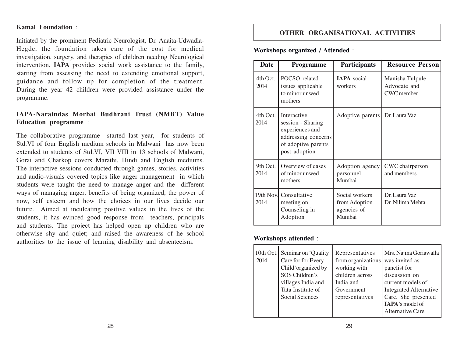#### **Kamal Foundation** :

Initiated by the prominent Pediatric Neurologist, Dr. Anaita-Udwadia-Hegde, the foundation takes care of the cost for medical investigation, surgery, and therapies of children needing Neurological intervention. **IAPA** provides social work assistance to the family, starting from assessing the need to extending emotional support, guidance and follow up for completion of the treatment. During the year 42 children were provided assistance under the programme.

#### **IAPA-Naraindas Morbai Budhrani Trust (NMBT) Value Education programme** :

The collaborative programme started last year, for students of Std.VI of four English medium schools in Malwani has now been extended to students of Std.VI, VII VIII in 13 schools of Malwani, Gorai and Charkop covers Marathi, Hindi and English mediums. The interactive sessions conducted through games, stories, activities and audio-visuals covered topics like anger management in which students were taught the need to manage anger and the different ways of managing anger, benefits of being organized, the power of now, self esteem and how the choices in our lives decide our future. Aimed at inculcating positive values in the lives of the students, it has evinced good response from teachers, principals and students. The project has helped open up children who are otherwise shy and quiet; and raised the awareness of he school authorities to the issue of learning disability and absenteeism.

#### **OTHER ORGANISATIONAL ACTIVITIES**

#### **Workshops organized / Attended** :

| <b>Date</b>       | <b>Programme</b>                                                                                                   | Participants                                             | <b>Resource Person</b>                                |
|-------------------|--------------------------------------------------------------------------------------------------------------------|----------------------------------------------------------|-------------------------------------------------------|
| 4th Oct.<br>2014  | POCSO related<br>issues applicable<br>to minor unwed<br>mothers                                                    | <b>IAPA</b> social<br>workers                            | Manisha Tulpule,<br>Advocate and<br><b>CWC</b> member |
| 4th Oct.<br>2014  | Interactive<br>session - Sharing<br>experiences and<br>addressing concerns<br>of adoptive parents<br>post adoption | Adoptive parents                                         | Dr. Laura Vaz                                         |
| 9th Oct.<br>2014  | Overview of cases<br>of minor unwed<br>mothers                                                                     | Adoption agency<br>personnel,<br>Mumbai.                 | CWC chairperson<br>and members                        |
| 19th Nov.<br>2014 | Consultative<br>meeting on<br>Counseling in<br>Adoption                                                            | Social workers<br>from Adoption<br>agencies of<br>Mumbai | Dr. Laura Vaz<br>Dr. Nilima Mehta                     |

#### **Workshops attended** :

|      | 10th Oct. Seminar on 'Quality | Representatives                     | Mrs. Najma Goriawalla         |
|------|-------------------------------|-------------------------------------|-------------------------------|
| 2014 | Care for for Every            | from organizations   was invited as |                               |
|      | Child'organized by            | working with                        | panelist for                  |
|      | SOS Children's                | children across                     | discussion on                 |
|      | villages India and            | India and                           | current models of             |
|      | Tata Institute of             | Government                          | <b>Integrated Alternative</b> |
|      | Social Sciences               | representatives                     | Care. She presented           |
|      |                               |                                     | IAPA's model of               |
|      |                               |                                     | Alternative Care              |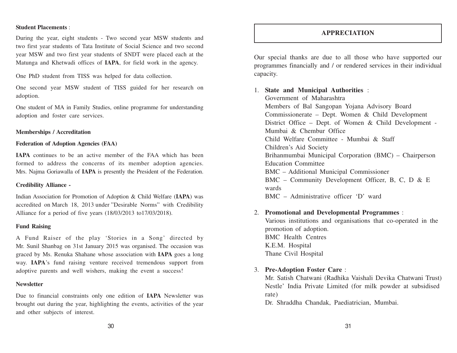#### **Student Placements** :

During the year, eight students - Two second year MSW students and two first year students of Tata Institute of Social Science and two second year MSW and two first year students of SNDT were placed each at the Matunga and Khetwadi offices of **IAPA**, for field work in the agency.

One PhD student from TISS was helped for data collection.

One second year MSW student of TISS guided for her research on adoption.

One student of MA in Family Studies, online programme for understanding adoption and foster care services.

#### **Memberships / Accreditation**

#### **Federation of Adoption Agencies (FAA)**

**IAPA** continues to be an active member of the FAA which has been formed to address the concerns of its member adoption agencies. Mrs. Najma Goriawalla of **IAPA** is presently the President of the Federation.

#### **Credibility Alliance -**

Indian Association for Promotion of Adoption & Child Welfare (**IAPA**) was accredited on March 18, 2013 under "Desirable Norms" with Credibility Alliance for a period of five years (18/03/2013 to17/03/2018).

#### **Fund Raising**

A Fund Raiser of the play 'Stories in a Song' directed by Mr. Sunil Shanbag on 31st January 2015 was organised. The occasion was graced by Ms. Renuka Shahane whose association with **IAPA** goes a long way. **IAPA**'s fund raising venture received tremendous support from adoptive parents and well wishers, making the event a success!

#### **Newsletter**

Due to financial constraints only one edition of **IAPA** Newsletter was brought out during the year, highlighting the events, activities of the year and other subjects of interest.

#### **APPRECIATION**

Our special thanks are due to all those who have supported our programmes financially and / or rendered services in their individual capacity.

#### 1. **State and Municipal Authorities** :

Government of Maharashtra Members of Bal Sangopan Yojana Advisory Board Commissionerate – Dept. Women & Child Development District Office – Dept. of Women & Child Development - Mumbai & Chembur Office Child Welfare Committee - Mumbai & Staff Children's Aid Society Brihanmumbai Municipal Corporation (BMC) – Chairperson Education Committee BMC – Additional Municipal Commissioner BMC – Community Development Officer, B, C, D & E wards BMC – Administrative officer 'D' ward

#### 2. **Promotional and Developmental Programmes** :

Various institutions and organisations that co-operated in the promotion of adoption. BMC Health Centres K.E.M. Hospital Thane Civil Hospital

#### 3. **Pre-Adoption Foster Care** :

Mr. Satish Chatwani (Radhika Vaishali Devika Chatwani Trust) Nestle' India Private Limited (for milk powder at subsidised rate)

Dr. Shraddha Chandak, Paediatrician, Mumbai.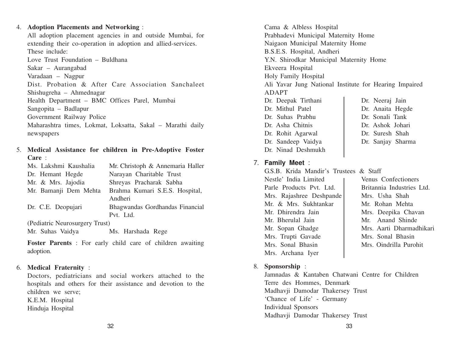#### 4. **Adoption Placements and Networking** :

All adoption placement agencies in and outside Mumbai, for extending their co-operation in adoption and allied-services. These include: Love Trust Foundation – Buldhana Sakar – Aurangabad Varadaan – Nagpur Dist. Probation & After Care Association Sanchaleet Shishugreha – Ahmednagar Health Department – BMC Offices Parel, Mumbai Sangopita – Badlapur Government Railway Police

Maharashtra times, Lokmat, Loksatta, Sakal – Marathi daily newspapers

#### 5. **Medical Assistance for children in Pre-Adoptive Foster Care** :

| Ms. Lakshmi Kaushalia          | Mr. Christoph & Annemaria Haller |
|--------------------------------|----------------------------------|
| Dr. Hemant Hegde               | Narayan Charitable Trust         |
| Mr. & Mrs. Jajodia             | Shreyas Pracharak Sabha          |
| Mr. Bamanji Dem Mehta          | Brahma Kumari S.E.S. Hospital,   |
|                                | Andheri                          |
| Dr. C.E. Deopujari             | Bhagwandas Gordhandas Financial  |
|                                | Pvt. Ltd.                        |
| (Pediatric Neurosurgery Trust) |                                  |

Mr. Suhas Vaidya Ms. Harshada Rege

**Foster Parents** : For early child care of children awaiting adoption.

#### 6. **Medical Fraternity** :

Doctors, pediatricians and social workers attached to the hospitals and others for their assistance and devotion to the children we serve; K.E.M. Hospital Hinduja Hospital

Cama & Albless Hospital Prabhadevi Municipal Maternity Home Naigaon Municipal Maternity Home B.S.E.S. Hospital, Andheri Y.N. Shirodkar Municipal Maternity Home Ekveera Hospital Holy Family Hospital Ali Yavar Jung National Institute for Hearing Impaired ADAPT Dr. Deepak Tirthani | Dr. Neeraj Jain Dr. Mithul Patel Dr. Anaita Hegde

- Dr. Suhas Prabhu Dr. Sonali Tank Dr. Asha Chitnis Dr. Ashok Johari Dr. Rohit Agarwal Dr. Suresh Shah
	-
- Dr. Sandeep Vaidya | Dr. Sanjay Sharma

## 7. **Family Meet** :

Dr. Ninad Deshmukh

- G.S.B. Krida Mandir's Trustees & Staff Nestle' India Limited 1 Venus Confectioners Parle Products Pvt. Ltd. Britannia Industries Ltd. Mrs. Rajashree Deshpande Mrs. Usha Shah Mr. & Mrs. Sukhtankar | Mr. Rohan Mehta Mr. Dhirendra Jain | Mrs. Deepika Chavan Mr. Bherulal Jain Mr. Anand Shinde Mr. Sopan Ghadge Mrs. Aarti Dharmadhikari Mrs. Trupti Gavade Mrs. Sonal Bhasin Mrs. Sonal Bhasin | Mrs. Oindrilla Purohit Mrs. Archana Iyer
- 8. **Sponsorship** :

Jamnadas & Kantaben Chatwani Centre for Children Terre des Hommes, Denmark Madhavji Damodar Thakersey Trust 'Chance of Life' - Germany Individual Sponsors Madhavji Damodar Thakersey Trust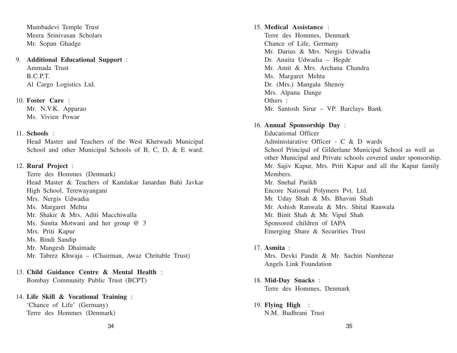Mumbadevi Temple Trust Meera Srinivasan Scholars Mr. Sopan Ghadge

9. **Additional Educational Support** : Ammada Trust B.C.P.T. Al Cargo Logistics Ltd.

10. **Foster Care** : Mr. N.V.K. Apparao Ms. Vivien Powar

#### 11. **Schools** :

Head Master and Teachers of the West Khetwadi Municipal School and other Municipal Schools of B, C, D, & E ward.

#### 12. **Rural Project** :

Terre des Hommes (Denmark) Head Master & Teachers of Kamlakar Janardan Bahi Javkar High School, Terewayangani Mrs. Nergis Udwadia Ms. Margaret Mehta Mr. Shakir & Mrs. Aditi Macchiwalla Ms. Sunita Motwani and her group @ 3 Mrs. Priti Kapur Ms. Bindi Sandip Mr. Mangesh Dhaimade Mr. Tabrez Khwaja – (Chairman, Awaz Chritable Trust)

13. **Child Guidance Centre & Mental Health** : Bombay Community Public Trust (BCPT)

14. **Life Skill & Vocational Training** : 'Chance of Life' (Germany) Terre des Hommes (Denmark)

15. **Medical Assistance** : Terre des Hommes, Denmark Chance of Life, Germany Mr. Darius & Mrs. Nergis Udwadia Dr. Anaita Udwadia – Hegde Mr. Amit & Mrs. Archana Chandra Ms. Margaret Mehta Dr. (Mrs.) Mangala Shenoy Mrs. Alpana Dange Others : Mr. Santosh Sirur – VP. Barclays Bank 16. **Annual Sponsorship Day** : Educational Officer Administarative Officer - C & D wards School Principal of Gilderlane Municipal School as well as other Municipal and Private schools covered under sponsorship. Mr. Sajiv Kapur, Mrs. Priti Kapur and all the Kapur family Members.

Mr. Snehal Parikh Encore National Polymers Pvt. Ltd. Mr. Uday Shah & Ms. Bhavini Shah Mr. Ashish Ranwala & Mrs. Shital Ranwala Mr. Binit Shah & Mr. Vipul Shah Sponsored children of IAPA Emerging Share & Securities Trust

- 17. **Asmita** : Mrs. Devki Pandit & Mr. Sachin Nambeear Angels Link Foundation
- 18. **Mid-Day Snacks** : Terre des Hommes, Denmark
- 19. **Flying High** : N.M. Budhrani Trust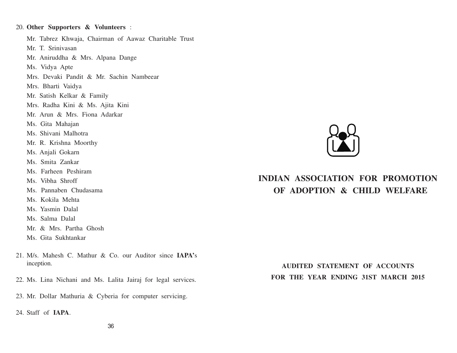20. **Other Supporters & Volunteers** : Mr. Tabrez Khwaja, Chairman of Aawaz Charitable Trust Mr. T. Srinivasan Mr. Aniruddha & Mrs. Alpana Dange Ms. Vidya Apte Mrs. Devaki Pandit & Mr. Sachin Nambeear Mrs. Bharti Vaidya Mr. Satish Kelkar & Family Mrs. Radha Kini & Ms. Ajita Kini Mr. Arun & Mrs. Fiona Adarkar Ms. Gita Mahajan Ms. Shivani Malhotra Mr. R. Krishna Moorthy Ms. Anjali Gokarn Ms. Smita Zankar Ms. Farheen Peshiram Ms. Vibha Shroff Ms. Pannaben Chudasama Ms. Kokila Mehta Ms. Yasmin Dalal Ms. Salma Dalal Mr. & Mrs. Partha Ghosh Ms. Gita Sukhtankar

- 21. M/s. Mahesh C. Mathur & Co. our Auditor since **IAPA'**<sup>s</sup> inception.
- 22. Ms. Lina Nichani and Ms. Lalita Jairaj for legal services.
- 23. Mr. Dollar Mathuria & Cyberia for computer servicing.
- 24. Staff of **IAPA**.



# **INDIAN ASSOCIATION FOR PROMOTION OF ADOPTION & CHILD WELFARE**

**AUDITED STATEMENT OF ACCOUNTS FOR THE YEAR ENDING 31ST MARCH 2015**

36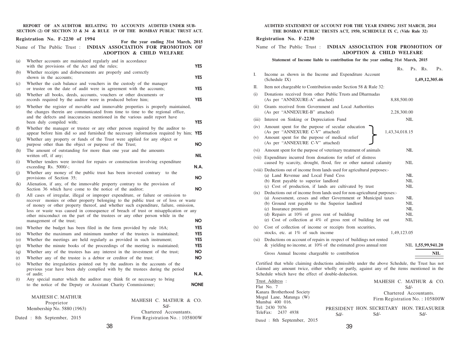**REPORT OF AN AUDITOR RELATING TO ACCOUNTS AUDITED UNDER SUB-SECTION (2) OF SECTION 33 & 34 & RULE 19 OF THE BOMBAY PUBLIC TRUST ACT.**

|            | Registration No. F-2230 of 1994                                                                                                                                                                                                                                                                                                                                                                                                                                      | For the year ending 31st March, 2015                       |  |
|------------|----------------------------------------------------------------------------------------------------------------------------------------------------------------------------------------------------------------------------------------------------------------------------------------------------------------------------------------------------------------------------------------------------------------------------------------------------------------------|------------------------------------------------------------|--|
|            | Name of The Public Trust : INDIAN ASSOCIATION FOR PROMOTION OF                                                                                                                                                                                                                                                                                                                                                                                                       | <b>ADOPTION &amp; CHILD WELFARE</b>                        |  |
| (a)        | Whether accounts are maintained regularly and in accordance<br>with the provisions of the Act and the rules;                                                                                                                                                                                                                                                                                                                                                         | <b>YES</b>                                                 |  |
| (b)        | Whether receipts and disbursements are properly and correctly<br>shown in the accounts;                                                                                                                                                                                                                                                                                                                                                                              | <b>YES</b>                                                 |  |
| (c)        | Whether the cash balance and vouchers in the custody of the manager<br>or trustee on the date of audit were in agreement with the accounts;                                                                                                                                                                                                                                                                                                                          | YES.                                                       |  |
| (d)        | Whether all books, deeds, accounts, vouchers or other documents or<br>records required by the auditor were in produced before him;                                                                                                                                                                                                                                                                                                                                   | <b>YES</b>                                                 |  |
| (e)        | Whether the register of movable and immovable properties is properly maintained,<br>the changes therein are communicated from time to time to the regional office,                                                                                                                                                                                                                                                                                                   |                                                            |  |
|            | and the defects and inaccuracies mentioned in the various audit report have<br>been duly compiled with;                                                                                                                                                                                                                                                                                                                                                              | <b>YES</b>                                                 |  |
| (f)        | Whether the manager or trustee or any other person required by the auditor to<br>appear before him did so and furnished the necessary information required by him; YES                                                                                                                                                                                                                                                                                               |                                                            |  |
| (g)        | Whether any property or funds of the Trust were applied for any object or<br>purpose other than the object or purpose of the Trust;                                                                                                                                                                                                                                                                                                                                  | <b>NO</b>                                                  |  |
| (h)        | The amount of outstanding for more than one year and the amounts<br>written off, if any;                                                                                                                                                                                                                                                                                                                                                                             | nil                                                        |  |
| (i)        | Whether tenders were invited for repairs or construction involving expenditure<br>exceeding Rs. $5000/-$ ;                                                                                                                                                                                                                                                                                                                                                           | N.A.                                                       |  |
| (i)        | Whether any money of the public trust has been invested contrary<br>provisions of Section 35;                                                                                                                                                                                                                                                                                                                                                                        | to the<br><b>NO</b>                                        |  |
| (k)        | Alienation, if any, of the immovable property contrary to the provision of<br>Section 36 which have come to the notice of the auditor;                                                                                                                                                                                                                                                                                                                               | <b>NO</b>                                                  |  |
| (1)        | All cases of irregular, illegal or improper expenditure, or failure or omission to<br>recover monies or other property belonging to the public trust or of loss or waste<br>of money or other property thereof, and whether such expenditure, failure, omission,<br>loss or waste was caused in consequence of breach of trust or misapplication or any<br>other misconduct on the part of the trustees or any other person while in the<br>management of the trust; | NO.                                                        |  |
| (m)        | Whether the budget has been filed in the form provided by rule 16A;                                                                                                                                                                                                                                                                                                                                                                                                  | <b>YES</b>                                                 |  |
| (n)        | Whether the maximum and minimum number of the trustees is maintained;                                                                                                                                                                                                                                                                                                                                                                                                | <b>YES</b>                                                 |  |
| (o)        | Whether the meetings are held regularly as provided in such instrument;                                                                                                                                                                                                                                                                                                                                                                                              | <b>YES</b>                                                 |  |
| (p)        | Whether the minute books of the proceedings of the meeting is maintained;                                                                                                                                                                                                                                                                                                                                                                                            | <b>YES</b>                                                 |  |
| (q)        | Whether any of the trustees has any interest in the investment of the trust;                                                                                                                                                                                                                                                                                                                                                                                         | NO.<br><b>NO</b>                                           |  |
| (r)<br>(s) | Whether any of the trustee is a debtor or creditor of the trust;<br>Whether the irregularities pointed out by the auditors in the accounts of the<br>previous year have been duly complied with by the trustees during the period                                                                                                                                                                                                                                    |                                                            |  |
|            | of audit;                                                                                                                                                                                                                                                                                                                                                                                                                                                            | N.A.                                                       |  |
| (t)        | Any special matter which the auditor may think fit or necessary to bring<br>to the notice of the Deputy or Assistant Charity Commissioner;                                                                                                                                                                                                                                                                                                                           | <b>NONE</b>                                                |  |
|            | <b>MAHESH C. MATHUR</b><br>Proprietor<br>Membership No. 5880 (1963)                                                                                                                                                                                                                                                                                                                                                                                                  | MAHESH C. MATHUR & CO.<br>$Sd/-$<br>Chartered Accountants. |  |
|            | Dated : 8th September, 2015                                                                                                                                                                                                                                                                                                                                                                                                                                          | Firm Registration No.: 105800W                             |  |

#### **AUDITED STATEMENT OF ACCOUNT FOR THE YEAR ENDING 31ST MARCH, 2014 THE BOMBAY PUBLIC TRUSTS ACT, 1950, SCHEDULE IX C, (Vide Rule 32)**

#### **Registration No. F-2230**

#### Name of The Public Trust : **INDIAN ASSOCIATION FOR PROMOTION OF ADOPTION & CHILD WELFARE**

#### **Statement of Income liable to contribution for the year ending 31st March, 2015**

|                                                                                                                                                                                                                                                                                                                                                                                                                                                                                                                                                                                  | Rs.            |                                                             | $Ps.$ Rs.          | Ps.        |  |
|----------------------------------------------------------------------------------------------------------------------------------------------------------------------------------------------------------------------------------------------------------------------------------------------------------------------------------------------------------------------------------------------------------------------------------------------------------------------------------------------------------------------------------------------------------------------------------|----------------|-------------------------------------------------------------|--------------------|------------|--|
| I.<br>Income as shown in the Income and Expenditure Account<br>(Schedule IX)                                                                                                                                                                                                                                                                                                                                                                                                                                                                                                     |                |                                                             | 1,49,12,305.46     |            |  |
| П.<br>Item not chargeable to Contribution under Section 58 & Rule 32:                                                                                                                                                                                                                                                                                                                                                                                                                                                                                                            |                |                                                             |                    |            |  |
| Donations received from other Public Trusts and Dharmadas<br>(i)<br>(As per "ANNEXURE-A" attached)                                                                                                                                                                                                                                                                                                                                                                                                                                                                               | 8,88,500.00    |                                                             |                    |            |  |
| Grants received from Government and Local Authorities<br>(ii)<br>(As per "ANNEXURE-B" attached)                                                                                                                                                                                                                                                                                                                                                                                                                                                                                  | 2,28,300.00    |                                                             |                    |            |  |
| Interest on Sinking or Depreciation Fund<br>(iii)                                                                                                                                                                                                                                                                                                                                                                                                                                                                                                                                |                | <b>NIL</b>                                                  |                    |            |  |
| Amount spent for the purpose of secular education<br>(iv)<br>(As per "ANNEXURE C-V" attached)<br>Amount spent for the purpose of medical relief<br>(v)<br>(As per "ANNEXURE C-V" attached)                                                                                                                                                                                                                                                                                                                                                                                       | 1,43,34,018.15 |                                                             |                    |            |  |
| (vi) Amount spent for the purpose of veterinary treatment of animals                                                                                                                                                                                                                                                                                                                                                                                                                                                                                                             |                | NIL                                                         |                    |            |  |
| (vii) Expenditure incurred from donations for relief of distress<br>caused by scarcity, drought, flood, fire or other natural calamity                                                                                                                                                                                                                                                                                                                                                                                                                                           |                | NIL                                                         |                    |            |  |
| (viii) Deductions out of income from lands used for agricultural purposes:-<br>(a) Land Revenue and Local Fund Cess<br>(b) Rent payable to superior landlord<br>(c) Cost of production, if lands are cultivated by trust<br>Deductions out of income from lands used for non-agricultural purposes:-<br>(ix)<br>(a) Assessment, cesses and other Government or Municipal taxes<br>(b) Ground rent payable to the Superior landlord<br>(c) Insurance premium<br>(d) Repairs at $10\%$ of gross rent of building<br>(e) Cost of collection at 4% of gross rent of building let out |                | NIL<br>NIL<br>NIL<br>NIL<br><b>NIL</b><br>NIL<br>NIL<br>NIL |                    |            |  |
| Cost of collection of income or receipts from securities,<br>(x)<br>stocks, etc. at 1% of such income                                                                                                                                                                                                                                                                                                                                                                                                                                                                            | 1,49,123.05    |                                                             |                    |            |  |
| Deductions on account of repairs in respect of buildings not rented<br>(xi)<br>& yielding no income, at $10\%$ of the estimated gross annual rent                                                                                                                                                                                                                                                                                                                                                                                                                                |                |                                                             | NIL 1,55,99,941.20 |            |  |
| Gross Annual Income chargeable to contribution                                                                                                                                                                                                                                                                                                                                                                                                                                                                                                                                   |                |                                                             |                    | <b>NIL</b> |  |
| Certified that while claiming deductions admissible under the above Schedule, the Trust has not<br>claimed any amount twice, either wholly or partly, against any of the items mentioned in the<br>Schedule which have the effect of double-deduction.                                                                                                                                                                                                                                                                                                                           |                |                                                             |                    |            |  |

| Trust Address :             |        |      | MAHESH C. MATHUR & CO.                |
|-----------------------------|--------|------|---------------------------------------|
| Flat No. 7                  |        |      | $Sd/-$                                |
| Kanara Brotherhood Society  |        |      | Chartered Accountants.                |
| Mogul Lane, Matunga (W)     |        |      | Firm Registration No.: 105800W        |
| Mumbai 400 016.             |        |      |                                       |
| Tel: 2430 7076              |        |      | PRESIDENT HON SECRETARY HON TREASURER |
| TeleFax: 2437 4938          | $Sd$ - | Sd/- | Sd/-                                  |
| Dated : 8th September, 2015 |        |      |                                       |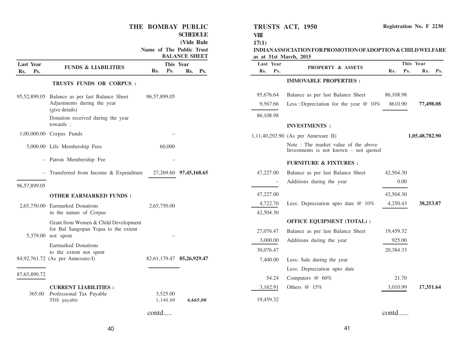|                                |                                                            | THE BOMBAY PUBLIC<br>Name of The Public Trust | <b>SCHEDULE</b><br>(Vide Rule<br><b>BALANCE SHEET</b> | VIII<br>17(1)<br>as at 31st March, 2015 | TRUSTS ACT, 1950<br>INDIANASSOCIATION FOR PROMOTION OF ADOPTION & CHILD WELFARE |           |                  | Registration No. F 2230 |
|--------------------------------|------------------------------------------------------------|-----------------------------------------------|-------------------------------------------------------|-----------------------------------------|---------------------------------------------------------------------------------|-----------|------------------|-------------------------|
| <b>Last Year</b><br>Ps.<br>Rs. | <b>FUNDS &amp; LIABILITIES</b>                             | This Year<br>Rs.<br>Ps.                       | Rs.<br>Ps.                                            | Last Year<br>Ps.<br>Rs.                 | PROPERTY & ASSETS                                                               | Rs.       | This Year<br>Ps. | Rs. Ps.                 |
|                                | TRUSTS FUNDS OR CORPUS :                                   |                                               |                                                       |                                         | <b>IMMOVABLE PROPERTIES:</b>                                                    |           |                  |                         |
|                                | 95,52,899.05 Balance as per last Balance Sheet             | 96,57,899.05                                  |                                                       | 95,676.64                               | Balance as per last Balance Sheet                                               | 86,108.98 |                  |                         |
|                                | Adjustments during the year<br>(give details)              |                                               |                                                       | 9,567.66                                | Less: Depreciation for the year $@$ 10%                                         | 8610.90   |                  | 77,498.08               |
|                                | Donation received during the year                          |                                               |                                                       | 86,108.98                               |                                                                                 |           |                  |                         |
|                                | towards :                                                  |                                               |                                                       |                                         | <b>INVESTMENTS:</b>                                                             |           |                  |                         |
|                                | 1,00,000.00 Corpus Funds                                   |                                               |                                                       |                                         | 1,11,40,292.90 (As per Annexure II)                                             |           |                  | 1,05,48,782.90          |
|                                | 5,000.00 Life Membership Fees                              | 60,000                                        |                                                       |                                         | Note: The market value of the above<br>Investments is not known $-$ not quoted  |           |                  |                         |
|                                | - Patron Membership Fee                                    |                                               |                                                       |                                         | <b>FURNITURE &amp; FIXTURES:</b>                                                |           |                  |                         |
|                                | - Transferred from Income & Expenditure                    |                                               | 27,269.60 97,45,168.65                                | 47,227.00                               | Balance as per last Balance Sheet                                               | 42,504.30 |                  |                         |
| 96,57,899.05                   |                                                            |                                               |                                                       |                                         | Additions during the year                                                       | 0.00      |                  |                         |
|                                | <b>OTHER EARMARKED FUNDS:</b>                              |                                               |                                                       | 47,227.00                               |                                                                                 | 42,504.30 |                  |                         |
|                                | 2,65,750.00 Earmarked Donations                            | 2,65,750.00                                   |                                                       | 4,722.70                                | Less: Depreciation upto date @ 10%                                              | 4,250.43  |                  | 38,253.87               |
|                                | in the nature of Corpus                                    |                                               |                                                       | 42,504.30                               |                                                                                 |           |                  |                         |
|                                | Grant from Women & Child Development                       |                                               |                                                       |                                         | <b>OFFICE EQUIPMENT (TOTAL):</b>                                                |           |                  |                         |
|                                | for Bal Sangopan Yojna to the extent<br>5,379.00 not spent |                                               |                                                       | 27,076.47                               | Balance as per last Balance Sheet                                               | 19,459.32 |                  |                         |
|                                | Earmarked Donations                                        |                                               |                                                       | 3,000.00                                | Additions during the year                                                       | 925.00    |                  |                         |
|                                | to the extent not spent                                    |                                               |                                                       | 30,076.47                               |                                                                                 | 20,384.33 |                  |                         |
|                                | 84,92,761.72 (As per Annexure-I)                           | 82,61,179.47 85,26,929.47                     |                                                       | 7,400.00                                | Less: Sale during the year                                                      |           |                  |                         |
| 87,63,890.72                   |                                                            |                                               |                                                       |                                         | Less: Depreciation upto date                                                    |           |                  |                         |
|                                |                                                            |                                               |                                                       | 54.24                                   | Computers @ 60%                                                                 | 21.70     |                  |                         |
|                                | <b>CURRENT LIABILITIES:</b>                                |                                               |                                                       | 3,162.91                                | Others @ 15%                                                                    | 3,010.99  |                  | 17,351.64               |
|                                | 365.00 Professional Tax Payable<br>TDS payable             | 3,525.00<br>1,140.00                          | 4,665,00                                              | 19,459.32                               |                                                                                 |           |                  |                         |
|                                |                                                            | contd                                         |                                                       |                                         |                                                                                 | contd     |                  |                         |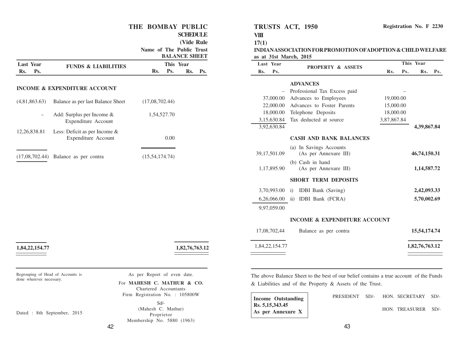#### **THE BOMBAY PUBLIC**

**SCHEDULE**

**(Vide Rule**

**Name of The Public Trust**

|                  |  |                                                         |                   |             | <b>BALANCE SHEET</b> |     |  |  |  |
|------------------|--|---------------------------------------------------------|-------------------|-------------|----------------------|-----|--|--|--|
| <b>Last Year</b> |  | <b>FUNDS &amp; LIABILITIES</b>                          |                   | This Year   |                      |     |  |  |  |
| Ps.<br>Rs.       |  |                                                         | Rs.               | Ps.         | Rs.                  | Ps. |  |  |  |
|                  |  | <b>INCOME &amp; EXPENDITURE ACCOUNT</b>                 |                   |             |                      |     |  |  |  |
| (4,81,863.63)    |  | Balance as per last Balance Sheet                       | (17,08,702.44)    |             |                      |     |  |  |  |
|                  |  | Add: Surplus per Income &<br>Expenditure Account        |                   | 1,54,527.70 |                      |     |  |  |  |
| 12, 26, 838. 81  |  | Less: Deficit as per Income $\&$<br>Expenditure Account |                   | 0.00        |                      |     |  |  |  |
| (17,08,702.44)   |  | Balance as per contra                                   | (15, 54, 174, 74) |             |                      |     |  |  |  |

**1,84,22,154.77 1,82,76,763.12**

Regrouping of Head of Accounts is done wherever necessary.

Dated : 8th September, 2015

As per Report of even date.

For **MAHESH C. MATHUR & CO.** Chartered Accountants Firm Registration No. : 105800W

> Sd/- (Mahesh C. Mathur) Proprietor Membership No. 5880 (1963)

**TRUSTS ACT, 1950**

#### **17(1)**

**VIII**

**INDIAN ASSOCIATION FOR PROMOTION OFADOPTION & CHILD WELFARE as at 31st March, 2015**

| <b>Last Year</b> | <b>PROPERTY &amp; ASSETS</b>                     | This Year   |     |                |     |
|------------------|--------------------------------------------------|-------------|-----|----------------|-----|
| Rs.<br>Ps.       |                                                  | Rs.         | Ps. | Rs.            | Ps. |
|                  | <b>ADVANCES</b>                                  |             |     |                |     |
|                  | Professional Tax Excess paid                     |             |     |                |     |
| 37,000.00        | Advances to Employees                            | 19,000.00   |     |                |     |
| 22,000.00        | Advances to Foster Parents                       | 15,000.00   |     |                |     |
| 18,000.00        | Telephone Deposits                               | 18,000.00   |     |                |     |
| 3,15,630.84      | Tax deducted at source                           | 3,87,867.84 |     |                |     |
| 3,92,630.84      |                                                  |             |     | 4,39,867.84    |     |
|                  | <b>CASH AND BANK BALANCES</b>                    |             |     |                |     |
| 39,17,501.09     | (a) In Savings Accounts<br>(As per Annexure III) |             |     | 46,74,150.31   |     |
| 1,17,895.90      | (b) Cash in hand<br>(As per Annexure III)        |             |     | 1,14,587.72    |     |
|                  | <b>SHORT TERM DEPOSITS</b>                       |             |     |                |     |
| 3,70,993.00      | <b>IDBI</b> Bank (Saving)<br>$\ddot{1}$          |             |     | 2,42,093.33    |     |
| 6,26,066.00      | ii)<br><b>IDBI</b> Bank (FCRA)                   |             |     | 5,70,002.69    |     |
| 9,97,059.00      |                                                  |             |     |                |     |
|                  | <b>INCOME &amp; EXPENDITURE ACCOUNT</b>          |             |     |                |     |
| 17,08,702,44     | Balance as per contra                            |             |     | 15,54,174.74   |     |
| 1,84,22,154.77   |                                                  |             |     | 1,82,76,763.12 |     |

The above Balance Sheet to the best of our belief contains a true account of the Funds & Liabilities and of the Property & Assets of the Trust.

**Income Outstanding Rs. 5,15,343.45 As per Annexure X**

|  | PRESIDENT SD/- HON SECRETARY SD/- |  |
|--|-----------------------------------|--|
|  | HON. TREASURER SD/-               |  |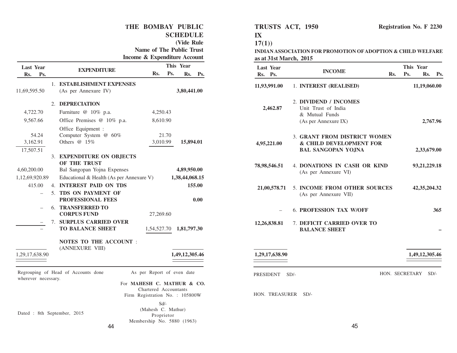#### **THE BOMBAY PUBLIC SCHEDULE (Vide Rule Name of The Public Trust Income & Expenditure Account Rs. Ps. EXPENDITURE Rs. Ps. Rs. Ps. Last Y This Year ear** 1. **ESTABLISHMENT EXPENSES** 11,69,595.50 (As per Annexure IV) **3,80,441.00** 2. **DEPRECIATION** 4,722.70 Furniture @ 10% p.a. 4,250.43 9,567.66 Office Premises @ 10% p.a. 8,610.90 Office Equipment : 54.24 Computer System @ 60% 21.70 3,162.91 Others @ 15% 3,010.99 **15,894.01** 17,507.51 3. **EXPENDITURE ON OBJECTS OF THE TRUST** 4,60,200.00 Bal Sangopan Yojna Expenses **4,89,950.00** 1,12,69,920.89 Educational & Health (As per Annexure V) **1,38,44,068.15** 415.00 4. **INTEREST PAID ON TDS 155.00** – 5. **TDS ON PAYMENT OF PROFESSIONAL FEES 0.00** – 6. **TRANSFERRED TO CORPUS FUND** 27,269.60 – 7. **SURPLUS CARRIED OVER** – **TO BALANCE SHEET** 1,54,527.70 **1,81,797.30 NOTES TO THE ACCOUNT** : (ANNEXURE VIII) 1,29,17,638.90 **1,49,12,305.46** Regrouping of Head of Accounts done wherever necessary. As per Report of even date For **MAHESH C. MATHUR & CO.** Chartered Accountants Firm Registration No. : 105800W

#### **TRUSTS ACT, 1950**

**IX**

**17(1))**

**INDIAN ASSOCIATION FOR PROMOTION OFADOPTION & CHILD WELFARE as at 31st March, 2015**

| <b>Last Year</b><br>Rs. Ps. | <b>INCOME</b>                                                                          | Rs.            | This Year<br>Ps. | Rs.             | Ps. |
|-----------------------------|----------------------------------------------------------------------------------------|----------------|------------------|-----------------|-----|
| 11,93,991.00                | 1. INTEREST (REALISED)                                                                 |                |                  | 11,19,060.00    |     |
| 2,462.87                    | 2. DIVIDEND / INCOMES<br>Unit Trust of India<br>& Mutual Funds<br>(As per Annexure IX) |                |                  | 2,767.96        |     |
| 4,95,221.00                 | 3. GRANT FROM DISTRICT WOMEN<br>& CHILD DEVELOPMENT FOR<br><b>BAL SANGOPAN YOJNA</b>   |                |                  | 2,33,679.00     |     |
| 78,98,546.51                | 4. DONATIONS IN CASH OR KIND<br>(As per Annexure VI)                                   |                |                  | 93, 21, 229. 18 |     |
| 21,00,578.71                | 5. INCOME FROM OTHER SOURCES<br>(As per Annexure VII)                                  |                |                  | 42, 35, 204. 32 |     |
|                             | <b>6. PROFESSION TAX W/OFF</b>                                                         |                |                  |                 | 365 |
| 12,26,838.81                | 7. DEFICIT CARRIED OVER TO<br><b>BALANCE SHEET</b>                                     |                |                  |                 |     |
| 1,29,17,638.90              |                                                                                        |                | 1,49,12,305.46   |                 |     |
| PRESIDENT                   | $SD/-$                                                                                 | HON. SECRETARY |                  | $SD/-$          |     |
| HON. TREASURER              | $SD/-$                                                                                 |                |                  |                 |     |

Dated : 8th September, 2015

Membership No. 5880 (1963)

Sd/- (Mahesh C. Mathur) Proprietor

44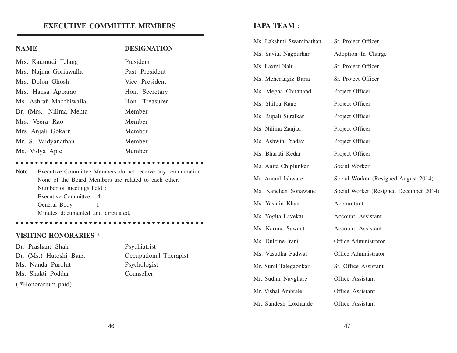## **EXECUTIVE COMMITTEE MEMBERS**

#### **NAME DESIGNATION**

| Mrs. Kaumudi Telang     | President      |  |
|-------------------------|----------------|--|
| Mrs. Najma Goriawalla   | Past President |  |
| Mrs. Dolon Ghosh        | Vice President |  |
| Mrs. Hansa Apparao      | Hon. Secretary |  |
| Ms. Ashraf Macchiwalla  | Hon. Treasurer |  |
| Dr. (Mrs.) Nilima Mehta | Member         |  |
| Mrs. Veera Rao          | Member         |  |
| Mrs. Anjali Gokarn      | Member         |  |
| Mr. S. Vaidyanathan     | Member         |  |
| Ms. Vidya Apte          | Member         |  |

#### <sup>a</sup> <sup>a</sup> <sup>a</sup> <sup>a</sup> <sup>a</sup> <sup>a</sup> <sup>a</sup> <sup>a</sup> <sup>a</sup> <sup>a</sup> <sup>a</sup> <sup>a</sup> <sup>a</sup> <sup>a</sup> <sup>a</sup> <sup>a</sup> <sup>a</sup> <sup>a</sup> <sup>a</sup> <sup>a</sup> <sup>a</sup> <sup>a</sup> <sup>a</sup> <sup>a</sup> <sup>a</sup> <sup>a</sup> <sup>a</sup> <sup>a</sup> <sup>a</sup> <sup>a</sup> <sup>a</sup> <sup>a</sup> <sup>a</sup> <sup>a</sup> <sup>a</sup> <sup>a</sup> <sup>a</sup> <sup>a</sup> <sup>a</sup>

**Note** : Executive Committee Members do not receive any remuneration. None of the Board Members are related to each other. Number of meetings held : Executive Committee – 4 General Body  $-1$ Minutes documented and circulated.

<sup>a</sup> <sup>a</sup> <sup>a</sup> <sup>a</sup> <sup>a</sup> <sup>a</sup> <sup>a</sup> <sup>a</sup> <sup>a</sup> <sup>a</sup> <sup>a</sup> <sup>a</sup> <sup>a</sup> <sup>a</sup> <sup>a</sup> <sup>a</sup> <sup>a</sup> <sup>a</sup> <sup>a</sup> <sup>a</sup> <sup>a</sup> <sup>a</sup> <sup>a</sup> <sup>a</sup> <sup>a</sup> <sup>a</sup> <sup>a</sup> <sup>a</sup> <sup>a</sup> <sup>a</sup> <sup>a</sup> <sup>a</sup> <sup>a</sup> <sup>a</sup> <sup>a</sup> <sup>a</sup> <sup>a</sup> <sup>a</sup> <sup>a</sup>

**VISITING HONORARIES \*** :

| Dr. Prashant Shah      | Psychiatrist           |
|------------------------|------------------------|
| Dr. (Ms.) Hutoshi Bana | Occupational Therapist |
| Ms. Nanda Purohit      | Psychologist           |
| Ms. Shakti Poddar      | Counseller             |
| (*Honorarium paid)     |                        |

## **IAPA TEAM** :

| Ms. Lakshmi Swaminathan | Sr. Project Officer                    |
|-------------------------|----------------------------------------|
| Ms. Savita Nagpurkar    | Adoption-In-Charge                     |
| Ms. Laxmi Nair          | Sr. Project Officer                    |
| Ms. Meherangiz Baria    | Sr. Project Officer                    |
| Ms. Megha Chitanand     | Project Officer                        |
| Ms. Shilpa Rane         | Project Officer                        |
| Ms. Rupali Suralkar     | Project Officer                        |
| Ms. Nilima Zanjad       | Project Officer                        |
| Ms. Ashwini Yadav       | Project Officer                        |
| Ms. Bharati Kedar       | Project Officer                        |
| Ms. Anita Chiplunkar    | Social Worker                          |
| Mr. Anand Ishware       | Social Worker (Resigned August 2014)   |
| Ms. Kanchan Sonawane    | Social Worker (Resigned December 2014) |
| Ms. Yasmin Khan         | Accountant                             |
| Ms. Yogita Lavekar      | Account Assistant                      |
| Ms. Karuna Sawant       | Account Assistant                      |
| Ms. Dulcine Irani       | Office Administrator                   |
| Ms. Vasudha Padwal      | Office Administrator                   |
| Mr. Sunil Talegaonkar   | Sr. Office Assistant                   |
| Mr. Sudhir Navghare     | Office Assistant                       |
| Mr. Vishal Ambrale      | Office Assistant                       |
| Mr. Sandesh Lokhande    | Office Assistant                       |